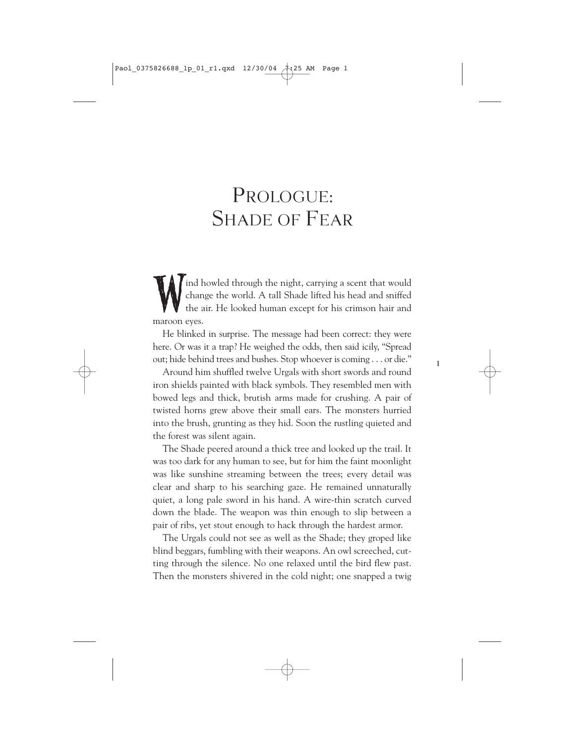## PROLOGUE: SHADE OF FEAR

ind howled through the night, carrying a scent that would change the world. A tall Shade lifted his head and sniffed the air. He looked human except for his crimson hair and maroon eyes.

He blinked in surprise. The message had been correct: they were here. Or was it a trap? He weighed the odds, then said icily, "Spread out; hide behind trees and bushes. Stop whoever is coming . . . or die."

Around him shuffled twelve Urgals with short swords and round iron shields painted with black symbols. They resembled men with bowed legs and thick, brutish arms made for crushing. A pair of twisted horns grew above their small ears. The monsters hurried into the brush, grunting as they hid. Soon the rustling quieted and the forest was silent again.

The Shade peered around a thick tree and looked up the trail. It was too dark for any human to see, but for him the faint moonlight was like sunshine streaming between the trees; every detail was clear and sharp to his searching gaze. He remained unnaturally quiet, a long pale sword in his hand. A wire-thin scratch curved down the blade. The weapon was thin enough to slip between a pair of ribs, yet stout enough to hack through the hardest armor.

The Urgals could not see as well as the Shade; they groped like blind beggars, fumbling with their weapons. An owl screeched, cutting through the silence. No one relaxed until the bird flew past. Then the monsters shivered in the cold night; one snapped a twig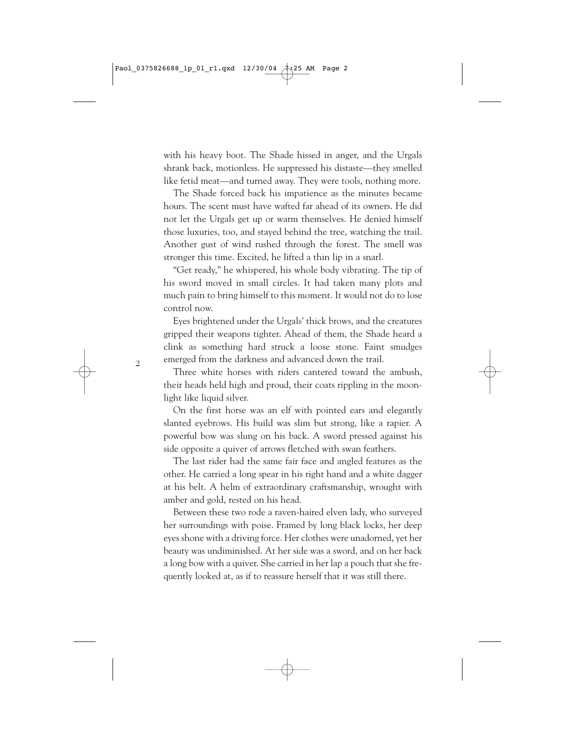with his heavy boot. The Shade hissed in anger, and the Urgals shrank back, motionless. He suppressed his distaste—they smelled like fetid meat—and turned away. They were tools, nothing more.

The Shade forced back his impatience as the minutes became hours. The scent must have wafted far ahead of its owners. He did not let the Urgals get up or warm themselves. He denied himself those luxuries, too, and stayed behind the tree, watching the trail. Another gust of wind rushed through the forest. The smell was stronger this time. Excited, he lifted a thin lip in a snarl.

"Get ready," he whispered, his whole body vibrating. The tip of his sword moved in small circles. It had taken many plots and much pain to bring himself to this moment. It would not do to lose control now.

Eyes brightened under the Urgals' thick brows, and the creatures gripped their weapons tighter. Ahead of them, the Shade heard a clink as something hard struck a loose stone. Faint smudges emerged from the darkness and advanced down the trail.

Three white horses with riders cantered toward the ambush, their heads held high and proud, their coats rippling in the moonlight like liquid silver.

On the first horse was an elf with pointed ears and elegantly slanted eyebrows. His build was slim but strong, like a rapier. A powerful bow was slung on his back. A sword pressed against his side opposite a quiver of arrows fletched with swan feathers.

The last rider had the same fair face and angled features as the other. He carried a long spear in his right hand and a white dagger at his belt. A helm of extraordinary craftsmanship, wrought with amber and gold, rested on his head.

Between these two rode a raven-haired elven lady, who surveyed her surroundings with poise. Framed by long black locks, her deep eyes shone with a driving force. Her clothes were unadorned, yet her beauty was undiminished. At her side was a sword, and on her back a long bow with a quiver. She carried in her lap a pouch that she frequently looked at, as if to reassure herself that it was still there.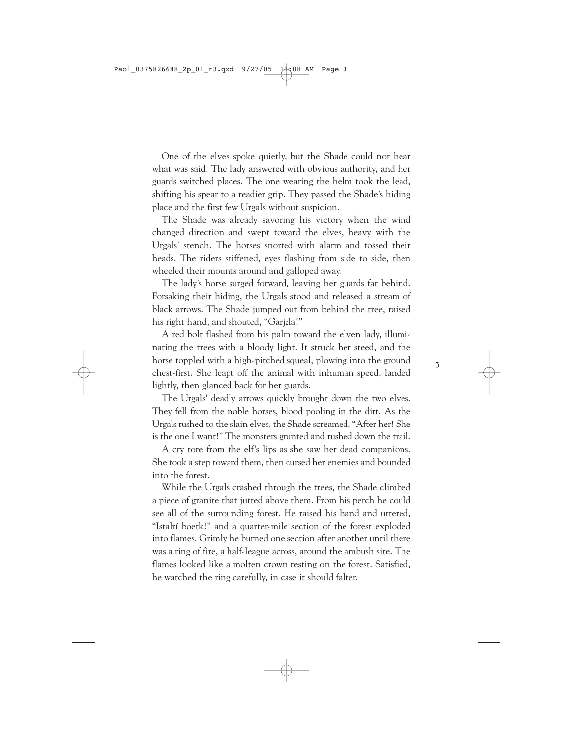One of the elves spoke quietly, but the Shade could not hear what was said. The lady answered with obvious authority, and her guards switched places. The one wearing the helm took the lead, shifting his spear to a readier grip. They passed the Shade's hiding place and the first few Urgals without suspicion.

The Shade was already savoring his victory when the wind changed direction and swept toward the elves, heavy with the Urgals' stench. The horses snorted with alarm and tossed their heads. The riders stiffened, eyes flashing from side to side, then wheeled their mounts around and galloped away.

The lady's horse surged forward, leaving her guards far behind. Forsaking their hiding, the Urgals stood and released a stream of black arrows. The Shade jumped out from behind the tree, raised his right hand, and shouted, "Garjzla!"

A red bolt flashed from his palm toward the elven lady, illuminating the trees with a bloody light. It struck her steed, and the horse toppled with a high-pitched squeal, plowing into the ground chest-first. She leapt off the animal with inhuman speed, landed lightly, then glanced back for her guards.

The Urgals' deadly arrows quickly brought down the two elves. They fell from the noble horses, blood pooling in the dirt. As the Urgals rushed to the slain elves, the Shade screamed, "After her! She is the one I want!" The monsters grunted and rushed down the trail.

A cry tore from the elf's lips as she saw her dead companions. She took a step toward them, then cursed her enemies and bounded into the forest.

While the Urgals crashed through the trees, the Shade climbed a piece of granite that jutted above them. From his perch he could see all of the surrounding forest. He raised his hand and uttered, "Istalrí boetk!" and a quarter-mile section of the forest exploded into flames. Grimly he burned one section after another until there was a ring of fire, a half-league across, around the ambush site. The flames looked like a molten crown resting on the forest. Satisfied, he watched the ring carefully, in case it should falter.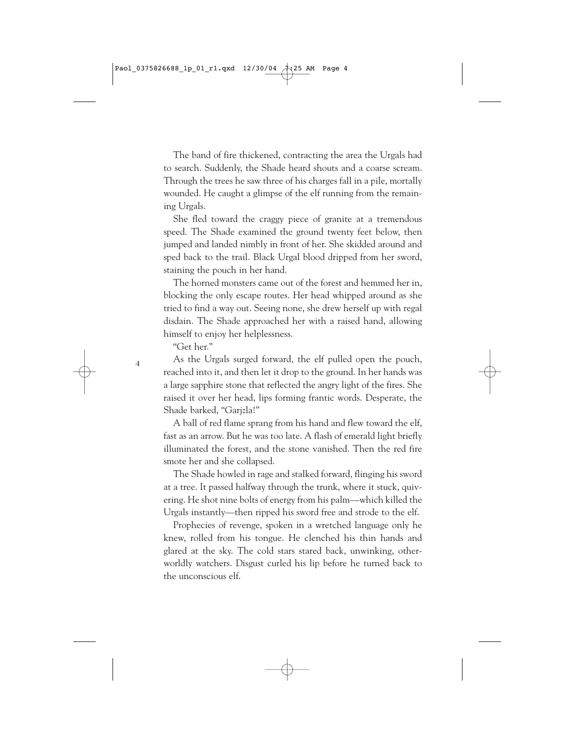The band of fire thickened, contracting the area the Urgals had to search. Suddenly, the Shade heard shouts and a coarse scream. Through the trees he saw three of his charges fall in a pile, mortally wounded. He caught a glimpse of the elf running from the remaining Urgals.

She fled toward the craggy piece of granite at a tremendous speed. The Shade examined the ground twenty feet below, then jumped and landed nimbly in front of her. She skidded around and sped back to the trail. Black Urgal blood dripped from her sword, staining the pouch in her hand.

The horned monsters came out of the forest and hemmed her in, blocking the only escape routes. Her head whipped around as she tried to find a way out. Seeing none, she drew herself up with regal disdain. The Shade approached her with a raised hand, allowing himself to enjoy her helplessness.

"Get her."

As the Urgals surged forward, the elf pulled open the pouch, reached into it, and then let it drop to the ground. In her hands was a large sapphire stone that reflected the angry light of the fires. She raised it over her head, lips forming frantic words. Desperate, the Shade barked, "Garjzla!"

A ball of red flame sprang from his hand and flew toward the elf, fast as an arrow. But he was too late. A flash of emerald light briefly illuminated the forest, and the stone vanished. Then the red fire smote her and she collapsed.

The Shade howled in rage and stalked forward, flinging his sword at a tree. It passed halfway through the trunk, where it stuck, quivering. He shot nine bolts of energy from his palm—which killed the Urgals instantly—then ripped his sword free and strode to the elf.

Prophecies of revenge, spoken in a wretched language only he knew, rolled from his tongue. He clenched his thin hands and glared at the sky. The cold stars stared back, unwinking, otherworldly watchers. Disgust curled his lip before he turned back to the unconscious elf.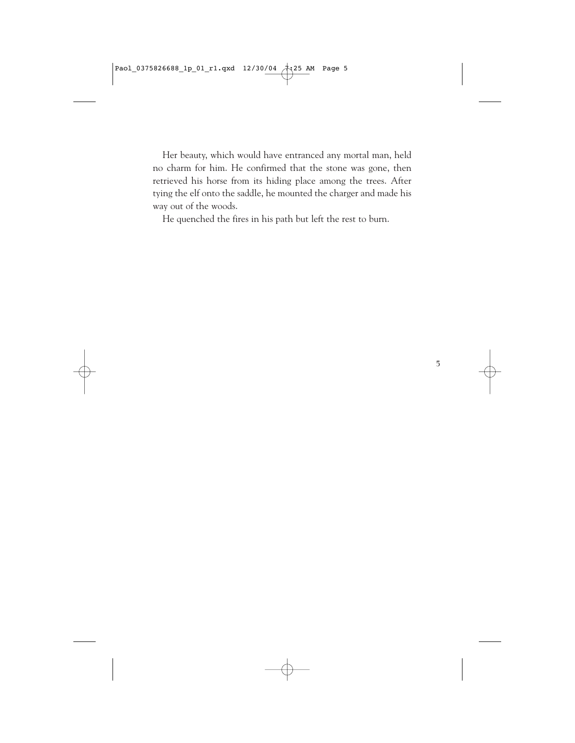Her beauty, which would have entranced any mortal man, held no charm for him. He confirmed that the stone was gone, then retrieved his horse from its hiding place among the trees. After tying the elf onto the saddle, he mounted the charger and made his way out of the woods.

He quenched the fires in his path but left the rest to burn.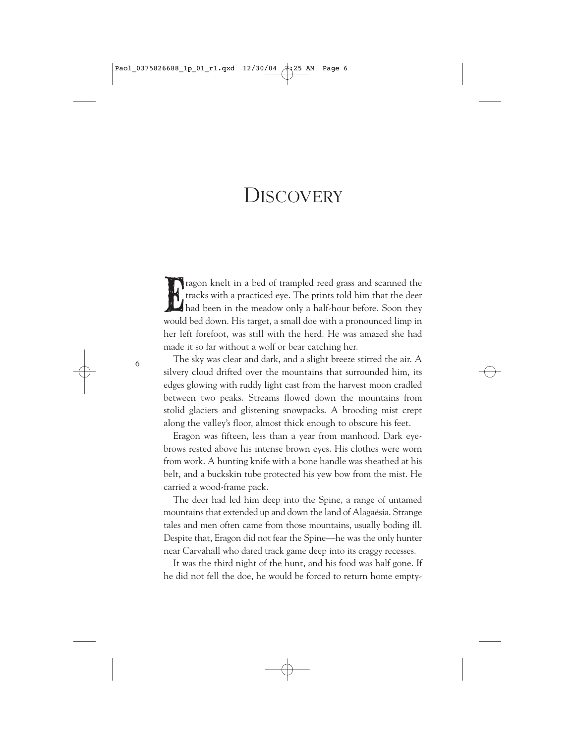## **DISCOVERY**

Fragon knelt in a bed of trampled reed grass and scanned the tracks with a practiced eye. The prints told him that the deer had been in the meadow only a half-hour before. Soon they ragon knelt in a bed of trampled reed grass and scanned the tracks with a practiced eye. The prints told him that the deer would bed down. His target, a small doe with a pronounced limp in her left forefoot, was still with the herd. He was amazed she had made it so far without a wolf or bear catching her.

The sky was clear and dark, and a slight breeze stirred the air. A silvery cloud drifted over the mountains that surrounded him, its edges glowing with ruddy light cast from the harvest moon cradled between two peaks. Streams flowed down the mountains from stolid glaciers and glistening snowpacks. A brooding mist crept along the valley's floor, almost thick enough to obscure his feet.

Eragon was fifteen, less than a year from manhood. Dark eyebrows rested above his intense brown eyes. His clothes were worn from work. A hunting knife with a bone handle was sheathed at his belt, and a buckskin tube protected his yew bow from the mist. He carried a wood-frame pack.

The deer had led him deep into the Spine, a range of untamed mountains that extended up and down the land of Alagaësia. Strange tales and men often came from those mountains, usually boding ill. Despite that, Eragon did not fear the Spine—he was the only hunter near Carvahall who dared track game deep into its craggy recesses.

It was the third night of the hunt, and his food was half gone. If he did not fell the doe, he would be forced to return home empty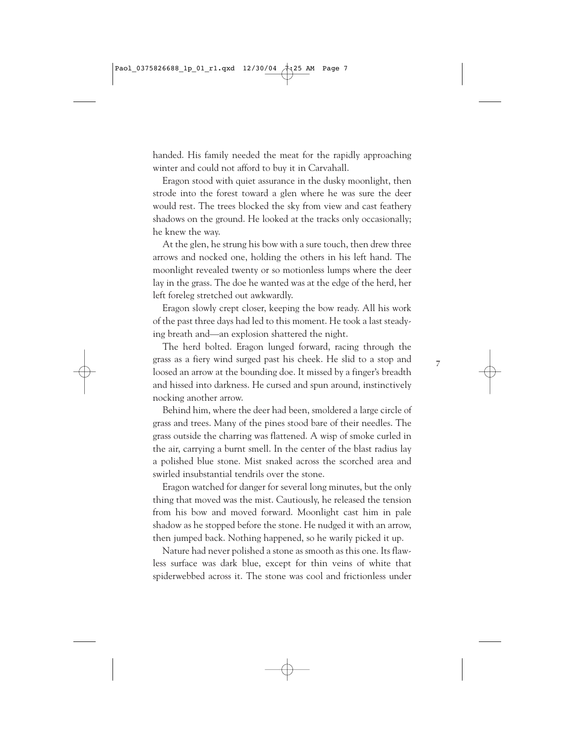handed. His family needed the meat for the rapidly approaching winter and could not afford to buy it in Carvahall.

Eragon stood with quiet assurance in the dusky moonlight, then strode into the forest toward a glen where he was sure the deer would rest. The trees blocked the sky from view and cast feathery shadows on the ground. He looked at the tracks only occasionally; he knew the way.

At the glen, he strung his bow with a sure touch, then drew three arrows and nocked one, holding the others in his left hand. The moonlight revealed twenty or so motionless lumps where the deer lay in the grass. The doe he wanted was at the edge of the herd, her left foreleg stretched out awkwardly.

Eragon slowly crept closer, keeping the bow ready. All his work of the past three days had led to this moment. He took a last steadying breath and—an explosion shattered the night.

The herd bolted. Eragon lunged forward, racing through the grass as a fiery wind surged past his cheek. He slid to a stop and loosed an arrow at the bounding doe. It missed by a finger's breadth and hissed into darkness. He cursed and spun around, instinctively nocking another arrow.

Behind him, where the deer had been, smoldered a large circle of grass and trees. Many of the pines stood bare of their needles. The grass outside the charring was flattened. A wisp of smoke curled in the air, carrying a burnt smell. In the center of the blast radius lay a polished blue stone. Mist snaked across the scorched area and swirled insubstantial tendrils over the stone.

Eragon watched for danger for several long minutes, but the only thing that moved was the mist. Cautiously, he released the tension from his bow and moved forward. Moonlight cast him in pale shadow as he stopped before the stone. He nudged it with an arrow, then jumped back. Nothing happened, so he warily picked it up.

Nature had never polished a stone as smooth as this one. Its flawless surface was dark blue, except for thin veins of white that spiderwebbed across it. The stone was cool and frictionless under